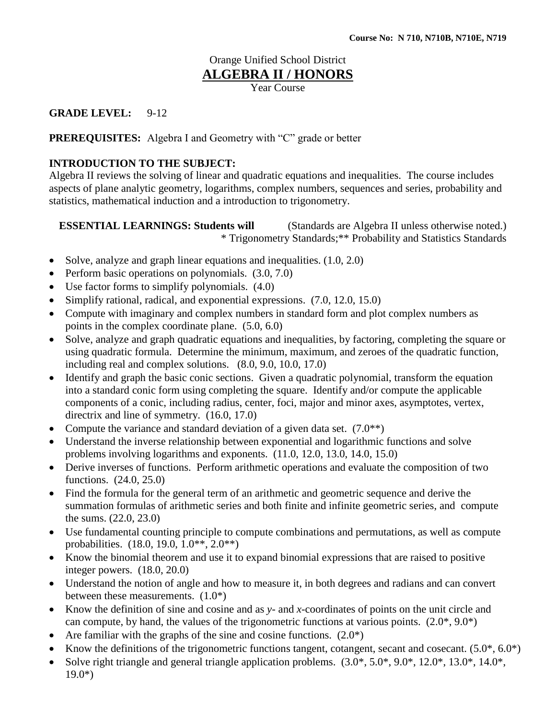# Orange Unified School District

## **ALGEBRA II / HONORS**

Year Course

## **GRADE LEVEL:** 9-12

#### **PREREQUISITES:** Algebra I and Geometry with "C" grade or better

#### **INTRODUCTION TO THE SUBJECT:**

Algebra II reviews the solving of linear and quadratic equations and inequalities. The course includes aspects of plane analytic geometry, logarithms, complex numbers, sequences and series, probability and statistics, mathematical induction and a introduction to trigonometry.

**ESSENTIAL LEARNINGS: Students will** (Standards are Algebra II unless otherwise noted.) \* Trigonometry Standards;\*\* Probability and Statistics Standards

- $\bullet$  Solve, analyze and graph linear equations and inequalities.  $(1.0, 2.0)$
- Perform basic operations on polynomials.  $(3.0, 7.0)$
- Use factor forms to simplify polynomials. (4.0)
- Simplify rational, radical, and exponential expressions.  $(7.0, 12.0, 15.0)$
- Compute with imaginary and complex numbers in standard form and plot complex numbers as points in the complex coordinate plane. (5.0, 6.0)
- Solve, analyze and graph quadratic equations and inequalities, by factoring, completing the square or using quadratic formula. Determine the minimum, maximum, and zeroes of the quadratic function, including real and complex solutions. (8.0, 9.0, 10.0, 17.0)
- Identify and graph the basic conic sections. Given a quadratic polynomial, transform the equation into a standard conic form using completing the square. Identify and/or compute the applicable components of a conic, including radius, center, foci, major and minor axes, asymptotes, vertex, directrix and line of symmetry. (16.0, 17.0)
- Compute the variance and standard deviation of a given data set.  $(7.0^{**})$
- Understand the inverse relationship between exponential and logarithmic functions and solve problems involving logarithms and exponents. (11.0, 12.0, 13.0, 14.0, 15.0)
- Derive inverses of functions. Perform arithmetic operations and evaluate the composition of two functions. (24.0, 25.0)
- Find the formula for the general term of an arithmetic and geometric sequence and derive the summation formulas of arithmetic series and both finite and infinite geometric series, and compute the sums. (22.0, 23.0)
- Use fundamental counting principle to compute combinations and permutations, as well as compute probabilities. (18.0, 19.0, 1.0\*\*, 2.0\*\*)
- Know the binomial theorem and use it to expand binomial expressions that are raised to positive integer powers. (18.0, 20.0)
- Understand the notion of angle and how to measure it, in both degrees and radians and can convert between these measurements. (1.0\*)
- Know the definition of sine and cosine and as *y* and *x-*coordinates of points on the unit circle and can compute, by hand, the values of the trigonometric functions at various points.  $(2.0^*, 9.0^*)$
- Are familiar with the graphs of the sine and cosine functions.  $(2.0^*)$
- Know the definitions of the trigonometric functions tangent, cotangent, secant and cosecant.  $(5.0^*, 6.0^*)$
- Solve right triangle and general triangle application problems. (3.0\*, 5.0\*, 9.0\*, 12.0\*, 13.0\*, 14.0\*,  $19.0^*$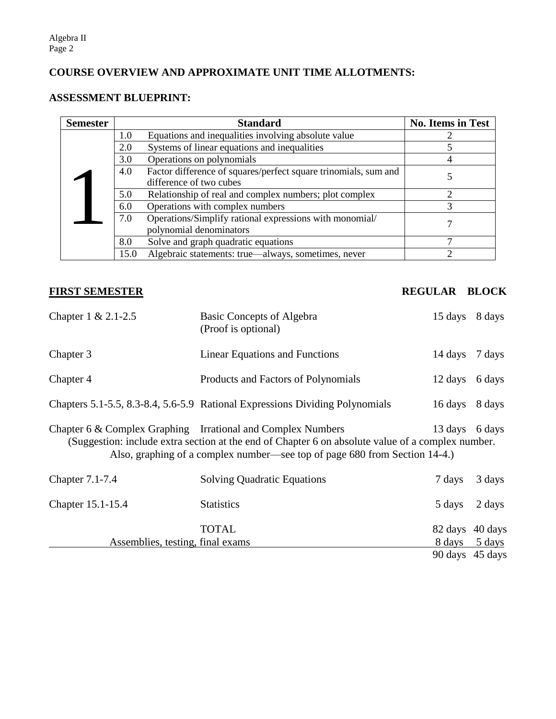## **COURSE OVERVIEW AND APPROXIMATE UNIT TIME ALLOTMENTS:**

## **ASSESSMENT BLUEPRINT:**

| <b>Semester</b> |      | <b>Standard</b>                                                                            | <b>No. Items in Test</b> |
|-----------------|------|--------------------------------------------------------------------------------------------|--------------------------|
|                 | 1.0  | Equations and inequalities involving absolute value                                        |                          |
|                 | 2.0  | Systems of linear equations and inequalities                                               |                          |
|                 | 3.0  | Operations on polynomials                                                                  |                          |
|                 | 4.0  | Factor difference of squares/perfect square trinomials, sum and<br>difference of two cubes |                          |
|                 | 5.0  | Relationship of real and complex numbers; plot complex                                     |                          |
|                 | 6.0  | Operations with complex numbers                                                            | 3                        |
|                 | 7.0  | Operations/Simplify rational expressions with monomial/<br>polynomial denominators         |                          |
|                 | 8.0  | Solve and graph quadratic equations                                                        |                          |
|                 | 15.0 | Algebraic statements: true—always, sometimes, never                                        |                          |

## **FIRST SEMESTER REGULAR BLOCK**

| Chapter 1 & 2.1-2.5                                                                                                                                                                                                                                                 | Basic Concepts of Algebra<br>(Proof is optional)                             | 15 days 8 days  |                          |  |  |
|---------------------------------------------------------------------------------------------------------------------------------------------------------------------------------------------------------------------------------------------------------------------|------------------------------------------------------------------------------|-----------------|--------------------------|--|--|
| Chapter 3                                                                                                                                                                                                                                                           | <b>Linear Equations and Functions</b>                                        | 14 days         | 7 days                   |  |  |
| Chapter 4                                                                                                                                                                                                                                                           | Products and Factors of Polynomials                                          | 12 days         | 6 days                   |  |  |
|                                                                                                                                                                                                                                                                     | Chapters 5.1-5.5, 8.3-8.4, 5.6-5.9 Rational Expressions Dividing Polynomials | 16 days         | 8 days                   |  |  |
| Chapter 6 & Complex Graphing Irrational and Complex Numbers<br>13 days<br>6 days<br>(Suggestion: include extra section at the end of Chapter 6 on absolute value of a complex number.<br>Also, graphing of a complex number—see top of page 680 from Section 14-4.) |                                                                              |                 |                          |  |  |
| <b>Chapter 7.1-7.4</b>                                                                                                                                                                                                                                              | <b>Solving Quadratic Equations</b>                                           | 7 days          | 3 days                   |  |  |
| Chapter 15.1-15.4                                                                                                                                                                                                                                                   | <b>Statistics</b>                                                            | 5 days          | 2 days                   |  |  |
| Assemblies, testing, final exams                                                                                                                                                                                                                                    | TOTAL                                                                        | 82 days         | 40 days<br>8 days 5 days |  |  |
|                                                                                                                                                                                                                                                                     |                                                                              | 90 days 45 days |                          |  |  |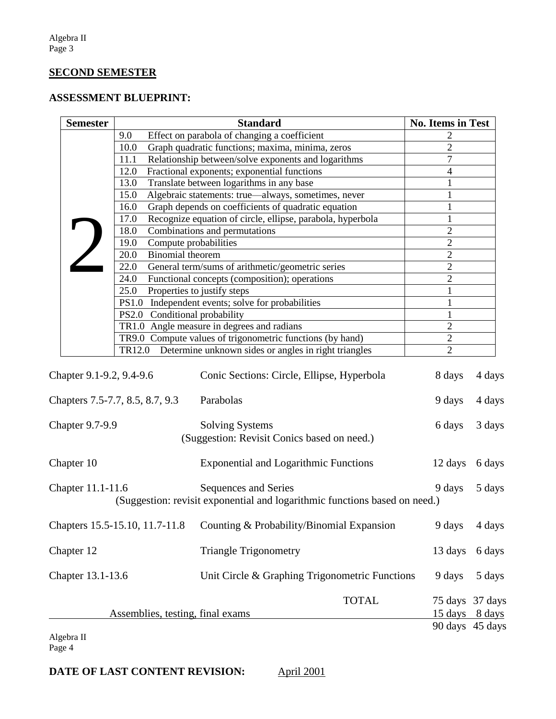#### **SECOND SEMESTER**

## **ASSESSMENT BLUEPRINT:**

|                          | <b>Semester</b> |                                                                    |                         | <b>Standard</b>                                                                                    |                | <b>No. Items in Test</b>         |                  |
|--------------------------|-----------------|--------------------------------------------------------------------|-------------------------|----------------------------------------------------------------------------------------------------|----------------|----------------------------------|------------------|
|                          |                 | 9.0                                                                |                         | Effect on parabola of changing a coefficient                                                       |                | 2                                |                  |
|                          |                 | Graph quadratic functions; maxima, minima, zeros<br>10.0           |                         |                                                                                                    |                | $\overline{2}$                   |                  |
|                          |                 | Relationship between/solve exponents and logarithms<br>11.1        |                         | $\overline{7}$                                                                                     |                |                                  |                  |
|                          |                 | 12.0                                                               |                         | Fractional exponents; exponential functions                                                        |                | 4                                |                  |
|                          |                 | 13.0<br>Translate between logarithms in any base                   |                         |                                                                                                    |                |                                  |                  |
|                          |                 | Algebraic statements: true-always, sometimes, never<br>15.0        |                         |                                                                                                    |                |                                  |                  |
|                          |                 | 16.0<br>Graph depends on coefficients of quadratic equation        |                         |                                                                                                    |                | 1                                |                  |
|                          |                 | Recognize equation of circle, ellipse, parabola, hyperbola<br>17.0 |                         | 1                                                                                                  |                |                                  |                  |
|                          |                 | 18.0                                                               |                         | Combinations and permutations                                                                      |                | $\overline{2}$                   |                  |
|                          |                 | 19.0                                                               |                         | Compute probabilities                                                                              | $\overline{2}$ |                                  |                  |
|                          |                 | 20.0                                                               | <b>Binomial</b> theorem |                                                                                                    |                | $\overline{2}$<br>$\overline{2}$ |                  |
|                          |                 | General term/sums of arithmetic/geometric series<br>22.0           |                         |                                                                                                    |                |                                  |                  |
|                          |                 | 24.0                                                               |                         | Functional concepts (composition); operations                                                      |                | $\overline{2}$                   |                  |
|                          |                 | 25.0                                                               |                         | Properties to justify steps                                                                        |                | 1                                |                  |
|                          |                 |                                                                    |                         | PS1.0 Independent events; solve for probabilities                                                  |                | 1                                |                  |
|                          |                 |                                                                    |                         | PS2.0 Conditional probability                                                                      |                | 1                                |                  |
|                          |                 |                                                                    |                         | TR1.0 Angle measure in degrees and radians                                                         |                | $\overline{2}$                   |                  |
|                          |                 |                                                                    |                         | TR9.0 Compute values of trigonometric functions (by hand)                                          |                | $\sqrt{2}$                       |                  |
|                          |                 |                                                                    |                         | TR12.0 Determine unknown sides or angles in right triangles                                        |                | $\overline{2}$                   |                  |
| Chapter 9.1-9.2, 9.4-9.6 |                 | Chapters 7.5-7.7, 8.5, 8.7, 9.3                                    |                         | Conic Sections: Circle, Ellipse, Hyperbola<br>Parabolas                                            |                | 8 days<br>9 days                 | 4 days<br>4 days |
| <b>Chapter 9.7-9.9</b>   |                 |                                                                    |                         | <b>Solving Systems</b><br>(Suggestion: Revisit Conics based on need.)                              |                | 6 days                           | 3 days           |
| Chapter 10               |                 |                                                                    |                         | <b>Exponential and Logarithmic Functions</b>                                                       |                | 12 days                          | 6 days           |
| Chapter 11.1-11.6        |                 |                                                                    |                         | Sequences and Series<br>(Suggestion: revisit exponential and logarithmic functions based on need.) |                | 9 days                           | 5 days           |
|                          |                 | Chapters 15.5-15.10, 11.7-11.8                                     |                         | Counting & Probability/Binomial Expansion                                                          |                | 9 days                           | 4 days           |
| Chapter 12               |                 |                                                                    |                         | <b>Triangle Trigonometry</b>                                                                       |                | 13 days                          | 6 days           |
| Chapter 13.1-13.6        |                 |                                                                    |                         | Unit Circle & Graphing Trigonometric Functions                                                     |                | 9 days                           | 5 days           |
|                          |                 |                                                                    |                         | <b>TOTAL</b>                                                                                       |                |                                  | 75 days 37 days  |
|                          |                 |                                                                    |                         | Assemblies, testing, final exams                                                                   |                |                                  | 15 days 8 days   |
|                          |                 |                                                                    |                         |                                                                                                    |                |                                  | 90 days 45 days  |

Algebra II Page 4

**DATE OF LAST CONTENT REVISION:** April 2001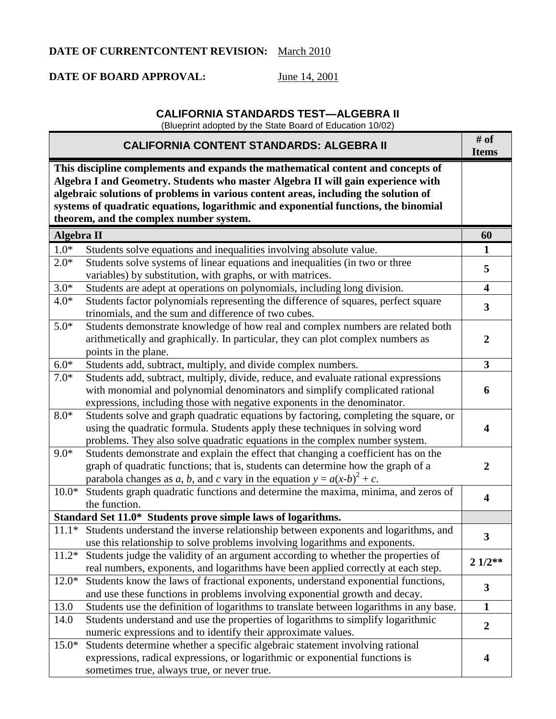## **DATE OF CURRENTCONTENT REVISION:** March 2010

## **DATE OF BOARD APPROVAL:** June 14, 2001

## **CALIFORNIA STANDARDS TEST—ALGEBRA II**

(Blueprint adopted by the State Board of Education 10/02)

|            | <b>CALIFORNIA CONTENT STANDARDS: ALGEBRA II</b>                                                                                                                                                                                                                                                                                                                                               | # of<br><b>Items</b>    |
|------------|-----------------------------------------------------------------------------------------------------------------------------------------------------------------------------------------------------------------------------------------------------------------------------------------------------------------------------------------------------------------------------------------------|-------------------------|
|            | This discipline complements and expands the mathematical content and concepts of<br>Algebra I and Geometry. Students who master Algebra II will gain experience with<br>algebraic solutions of problems in various content areas, including the solution of<br>systems of quadratic equations, logarithmic and exponential functions, the binomial<br>theorem, and the complex number system. |                         |
| Algebra II |                                                                                                                                                                                                                                                                                                                                                                                               | 60                      |
| $1.0*$     | Students solve equations and inequalities involving absolute value.                                                                                                                                                                                                                                                                                                                           | 1                       |
| $2.0*$     | Students solve systems of linear equations and inequalities (in two or three<br>variables) by substitution, with graphs, or with matrices.                                                                                                                                                                                                                                                    | 5                       |
| $3.0*$     | Students are adept at operations on polynomials, including long division.                                                                                                                                                                                                                                                                                                                     | $\overline{\mathbf{4}}$ |
| $4.0*$     | Students factor polynomials representing the difference of squares, perfect square<br>trinomials, and the sum and difference of two cubes.                                                                                                                                                                                                                                                    | $\overline{\mathbf{3}}$ |
| $5.0*$     | Students demonstrate knowledge of how real and complex numbers are related both<br>arithmetically and graphically. In particular, they can plot complex numbers as<br>points in the plane.                                                                                                                                                                                                    | $\boldsymbol{2}$        |
| $6.0*$     | Students add, subtract, multiply, and divide complex numbers.                                                                                                                                                                                                                                                                                                                                 | $\mathbf{3}$            |
| $7.0*$     | Students add, subtract, multiply, divide, reduce, and evaluate rational expressions<br>with monomial and polynomial denominators and simplify complicated rational<br>expressions, including those with negative exponents in the denominator.                                                                                                                                                | 6                       |
| $8.0*$     | Students solve and graph quadratic equations by factoring, completing the square, or<br>using the quadratic formula. Students apply these techniques in solving word<br>problems. They also solve quadratic equations in the complex number system.                                                                                                                                           | $\overline{\mathbf{4}}$ |
| $9.0*$     | Students demonstrate and explain the effect that changing a coefficient has on the<br>graph of quadratic functions; that is, students can determine how the graph of a<br>parabola changes as a, b, and c vary in the equation $y = a(x-b)^2 + c$ .                                                                                                                                           | $\overline{2}$          |
| $10.0*$    | Students graph quadratic functions and determine the maxima, minima, and zeros of<br>the function.                                                                                                                                                                                                                                                                                            | $\overline{\mathbf{4}}$ |
|            | Standard Set 11.0* Students prove simple laws of logarithms.                                                                                                                                                                                                                                                                                                                                  |                         |
|            | 11.1* Students understand the inverse relationship between exponents and logarithms, and<br>use this relationship to solve problems involving logarithms and exponents.                                                                                                                                                                                                                       | $\mathbf{3}$            |
| $11.2*$    | Students judge the validity of an argument according to whether the properties of<br>real numbers, exponents, and logarithms have been applied correctly at each step.                                                                                                                                                                                                                        | $21/2**$                |
| $12.0*$    | Students know the laws of fractional exponents, understand exponential functions,<br>and use these functions in problems involving exponential growth and decay.                                                                                                                                                                                                                              | $\mathbf{3}$            |
| 13.0       | Students use the definition of logarithms to translate between logarithms in any base.                                                                                                                                                                                                                                                                                                        | $\mathbf{1}$            |
| 14.0       | Students understand and use the properties of logarithms to simplify logarithmic<br>numeric expressions and to identify their approximate values.                                                                                                                                                                                                                                             | $\boldsymbol{2}$        |
| $15.0*$    | Students determine whether a specific algebraic statement involving rational<br>expressions, radical expressions, or logarithmic or exponential functions is<br>sometimes true, always true, or never true.                                                                                                                                                                                   | 4                       |